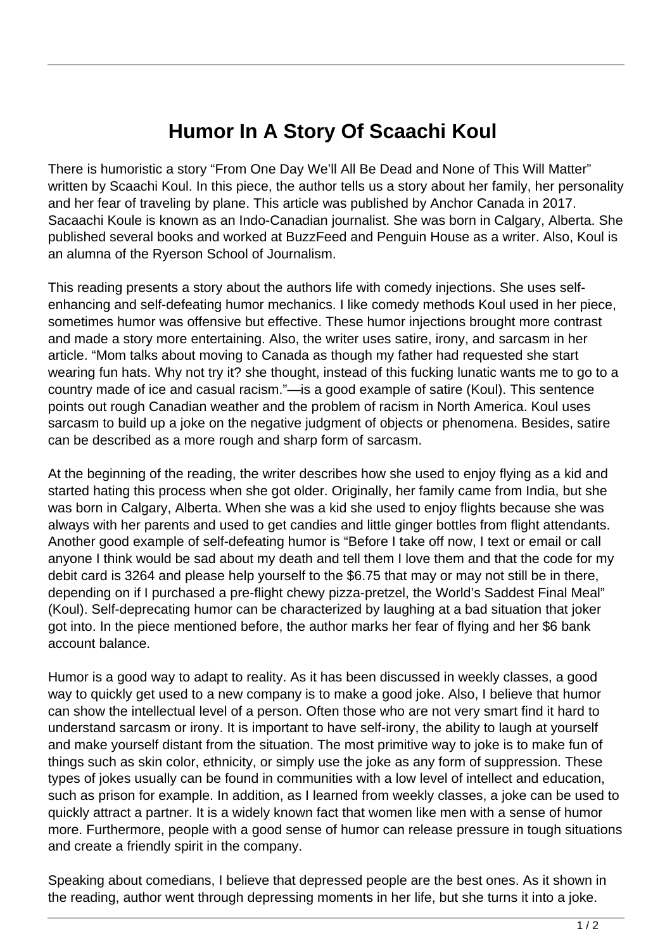## **Humor In A Story Of Scaachi Koul**

There is humoristic a story "From One Day We'll All Be Dead and None of This Will Matter" written by Scaachi Koul. In this piece, the author tells us a story about her family, her personality and her fear of traveling by plane. This article was published by Anchor Canada in 2017. Sacaachi Koule is known as an Indo-Canadian journalist. She was born in Calgary, Alberta. She published several books and worked at BuzzFeed and Penguin House as a writer. Also, Koul is an alumna of the Ryerson School of Journalism.

This reading presents a story about the authors life with comedy injections. She uses selfenhancing and self-defeating humor mechanics. I like comedy methods Koul used in her piece, sometimes humor was offensive but effective. These humor injections brought more contrast and made a story more entertaining. Also, the writer uses satire, irony, and sarcasm in her article. "Mom talks about moving to Canada as though my father had requested she start wearing fun hats. Why not try it? she thought, instead of this fucking lunatic wants me to go to a country made of ice and casual racism."—is a good example of satire (Koul). This sentence points out rough Canadian weather and the problem of racism in North America. Koul uses sarcasm to build up a joke on the negative judgment of objects or phenomena. Besides, satire can be described as a more rough and sharp form of sarcasm.

At the beginning of the reading, the writer describes how she used to enjoy flying as a kid and started hating this process when she got older. Originally, her family came from India, but she was born in Calgary, Alberta. When she was a kid she used to enjoy flights because she was always with her parents and used to get candies and little ginger bottles from flight attendants. Another good example of self-defeating humor is "Before I take off now, I text or email or call anyone I think would be sad about my death and tell them I love them and that the code for my debit card is 3264 and please help yourself to the \$6.75 that may or may not still be in there, depending on if I purchased a pre-flight chewy pizza-pretzel, the World's Saddest Final Meal" (Koul). Self-deprecating humor can be characterized by laughing at a bad situation that joker got into. In the piece mentioned before, the author marks her fear of flying and her \$6 bank account balance.

Humor is a good way to adapt to reality. As it has been discussed in weekly classes, a good way to quickly get used to a new company is to make a good joke. Also, I believe that humor can show the intellectual level of a person. Often those who are not very smart find it hard to understand sarcasm or irony. It is important to have self-irony, the ability to laugh at yourself and make yourself distant from the situation. The most primitive way to joke is to make fun of things such as skin color, ethnicity, or simply use the joke as any form of suppression. These types of jokes usually can be found in communities with a low level of intellect and education, such as prison for example. In addition, as I learned from weekly classes, a joke can be used to quickly attract a partner. It is a widely known fact that women like men with a sense of humor more. Furthermore, people with a good sense of humor can release pressure in tough situations and create a friendly spirit in the company.

Speaking about comedians, I believe that depressed people are the best ones. As it shown in the reading, author went through depressing moments in her life, but she turns it into a joke.